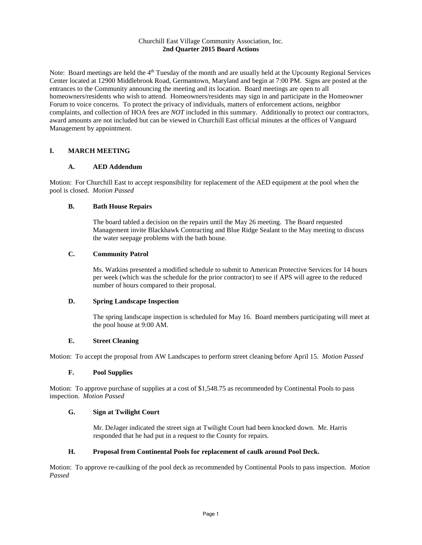### Churchill East Village Community Association, Inc. **2nd Quarter 2015 Board Actions**

Note: Board meetings are held the 4<sup>th</sup> Tuesday of the month and are usually held at the Upcounty Regional Services Center located at 12900 Middlebrook Road, Germantown, Maryland and begin at 7:00 PM. Signs are posted at the entrances to the Community announcing the meeting and its location. Board meetings are open to all homeowners/residents who wish to attend. Homeowners/residents may sign in and participate in the Homeowner Forum to voice concerns. To protect the privacy of individuals, matters of enforcement actions, neighbor complaints, and collection of HOA fees are *NOT* included in this summary. Additionally to protect our contractors, award amounts are not included but can be viewed in Churchill East official minutes at the offices of Vanguard Management by appointment.

# **I. MARCH MEETING**

# **A. AED Addendum**

Motion: For Churchill East to accept responsibility for replacement of the AED equipment at the pool when the pool is closed. *Motion Passed*

### **B. Bath House Repairs**

The board tabled a decision on the repairs until the May 26 meeting. The Board requested Management invite Blackhawk Contracting and Blue Ridge Sealant to the May meeting to discuss the water seepage problems with the bath house.

# **C. Community Patrol**

Ms. Watkins presented a modified schedule to submit to American Protective Services for 14 hours per week (which was the schedule for the prior contractor) to see if APS will agree to the reduced number of hours compared to their proposal.

### **D. Spring Landscape Inspection**

The spring landscape inspection is scheduled for May 16. Board members participating will meet at the pool house at 9:00 AM.

# **E. Street Cleaning**

Motion: To accept the proposal from AW Landscapes to perform street cleaning before April 15. *Motion Passed*

### **F. Pool Supplies**

Motion: To approve purchase of supplies at a cost of \$1,548.75 as recommended by Continental Pools to pass inspection. *Motion Passed*

### **G. Sign at Twilight Court**

Mr. DeJager indicated the street sign at Twilight Court had been knocked down. Mr. Harris responded that he had put in a request to the County for repairs.

# **H. Proposal from Continental Pools for replacement of caulk around Pool Deck.**

Motion: To approve re-caulking of the pool deck as recommended by Continental Pools to pass inspection. *Motion Passed*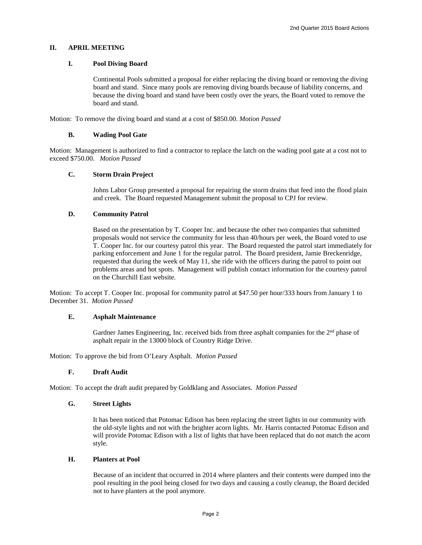### **II. APRIL MEETING**

#### **I. Pool Diving Board**

Continental Pools submitted a proposal for either replacing the diving board or removing the diving board and stand. Since many pools are removing diving boards because of liability concerns, and because the diving board and stand have been costly over the years, the Board voted to remove the board and stand.

Motion: To remove the diving board and stand at a cost of \$850.00. *Motion Passed*

#### **B. Wading Pool Gate**

Motion: Management is authorized to find a contractor to replace the latch on the wading pool gate at a cost not to exceed \$750.00. *Motion Passed*

# **C. Storm Drain Project**

Johns Labor Group presented a proposal for repairing the storm drains that feed into the flood plain and creek. The Board requested Management submit the proposal to CPJ for review.

#### **D. Community Patrol**

Based on the presentation by T. Cooper Inc. and because the other two companies that submitted proposals would not service the community for less than 40/hours per week, the Board voted to use T. Cooper Inc. for our courtesy patrol this year. The Board requested the patrol start immediately for parking enforcement and June 1 for the regular patrol. The Board president, Jamie Breckenridge, requested that during the week of May 11, she ride with the officers during the patrol to point out problems areas and hot spots. Management will publish contact information for the courtesy patrol on the Churchill East website.

Motion: To accept T. Cooper Inc. proposal for community patrol at \$47.50 per hour/333 hours from January 1 to December 31. *Motion Passed*

#### **E. Asphalt Maintenance**

Gardner James Engineering, Inc. received bids from three asphalt companies for the  $2<sup>nd</sup>$  phase of asphalt repair in the 13000 block of Country Ridge Drive.

Motion: To approve the bid from O'Leary Asphalt. *Motion Passed*

#### **F. Draft Audit**

Motion: To accept the draft audit prepared by Goldklang and Associates. *Motion Passed*

#### **G. Street Lights**

It has been noticed that Potomac Edison has been replacing the street lights in our community with the old-style lights and not with the brighter acorn lights. Mr. Harris contacted Potomac Edison and will provide Potomac Edison with a list of lights that have been replaced that do not match the acorn style.

#### **H. Planters at Pool**

Because of an incident that occurred in 2014 where planters and their contents were dumped into the pool resulting in the pool being closed for two days and causing a costly cleanup, the Board decided not to have planters at the pool anymore.